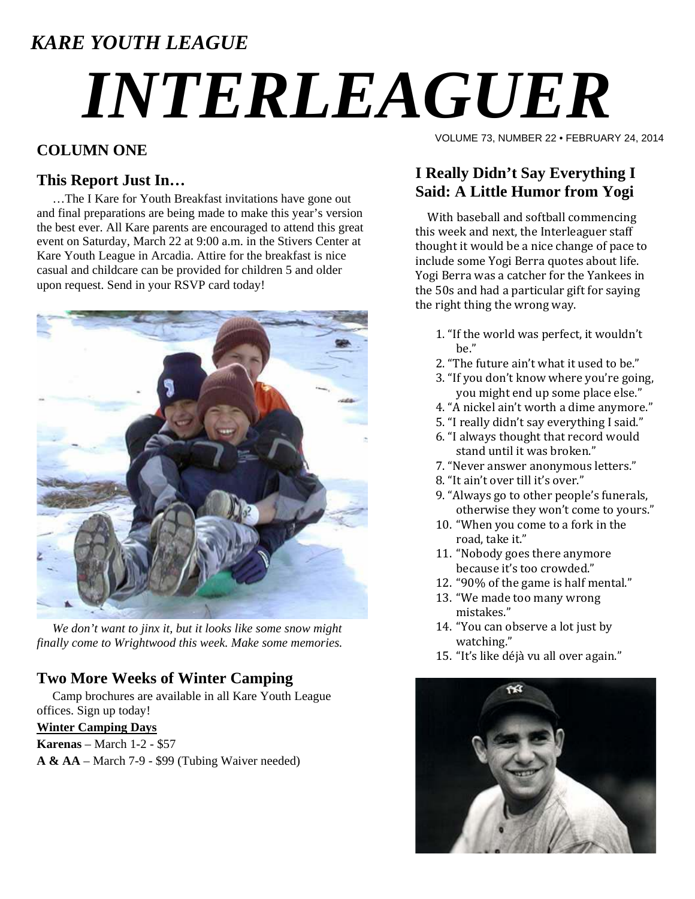# *KARE YOUTH LEAGUE*

# *INTERLEAGUER*

## **COLUMN ONE**

#### **This Report Just In…**

 …The I Kare for Youth Breakfast invitations have gone out and final preparations are being made to make this year's version the best ever. All Kare parents are encouraged to attend this great event on Saturday, March 22 at 9:00 a.m. in the Stivers Center at Kare Youth League in Arcadia. Attire for the breakfast is nice casual and childcare can be provided for children 5 and older upon request. Send in your RSVP card today!



 *We don't want to jinx it, but it looks like some snow might finally come to Wrightwood this week. Make some memories.* 

### **Two More Weeks of Winter Camping**

 Camp brochures are available in all Kare Youth League offices. Sign up today!

#### **Winter Camping Days**

**Karenas** – March 1-2 - \$57

**A & AA** – March 7-9 - \$99 (Tubing Waiver needed)

VOLUME 73, NUMBER 22 • FEBRUARY 24, 2014

# **I Really Didn't Say Everything I Said: A Little Humor from Yogi**

With baseball and softball commencing this week and next, the Interleaguer staff thought it would be a nice change of pace to include some Yogi Berra quotes about life. Yogi Berra was a catcher for the Yankees in the 50s and had a particular gift for saying the right thing the wrong way.

- 1. "If the world was perfect, it wouldn't be."
- 2. "The future ain't what it used to be."
- 3. "If you don't know where you're going, you might end up some place else."
- 4. "A nickel ain't worth a dime anymore."
- 5. "I really didn't say everything I said."
- 6. "I always thought that record would stand until it was broken."
- 7. "Never answer anonymous letters."
- 8. "It ain't over till it's over."
- 9. "Always go to other people's funerals, otherwise they won't come to yours."
- 10. "When you come to a fork in the road, take it."
- 11. "Nobody goes there anymore because it's too crowded."
- 12. "90% of the game is half mental."
- 13. "We made too many wrong mistakes."
- 14. "You can observe a lot just by watching."
- 15. "It's like déjà vu all over again."